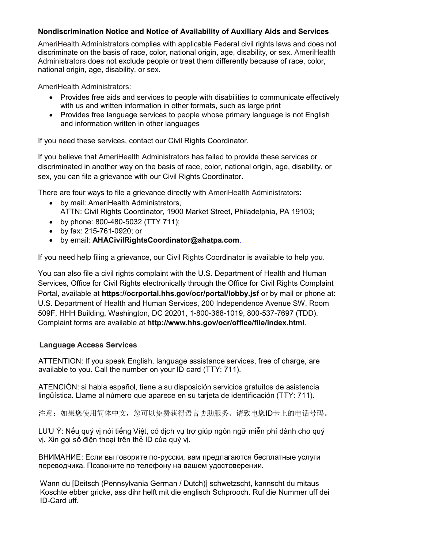## **Nondiscrimination Notice and Notice of Availability of Auxiliary Aids and Services Nondiscrimination Notice and Notice of Availability of Auxiliary Aids and Services**

AmeriHealth Administrators complies with applicable Federal civil rights laws and does not discriminate on the basis of race, color, national origin, age, disability, or sex. AmeriHealth Administrators does not exclude people or treat them differently because of race, color, national origin, age, disability, or sex.

AmeriHealth Administrators:

- Provides free aids and services to people with disabilities to communicate effectively with us and written information in other formats, such as large print
	- Provides free language services to people whose primary language is not English and information written in other languages  $\mathcal{P}$  . Provides to people whose primary language is not English primary language is not English primary language is not English primary language is not English primary language is not English primary language is not E

If you need these services, contact our Civil Rights Coordinator.

If you believe that AmeriHealth Administrators has failed to provide these services or discriminated in another way on the basis of race, color, national origin, age, disability, or sex, you can file a grievance with our Civil Rights Coordinator. discriminated in another way on the basis of race, color, national origin, age, disability, or

There are four ways to file a grievance directly with AmeriHealth Administrators:

- by mail: AmeriHealth Administrators, 25 mai 1980 in California annul 2006.<br>ATTN: Civil Rights Coordinator, 1900 Market Street, Philadelphia, PA 19103;
- by phone: 800-480-5032 (TTY 711);
	- by fax: 215-761-0920; or
- by email: **AHACivilRightsCoordinator@ahatpa.com**. • by email: AHACivilRightsCoordinator@ahatpa  $\mathcal{L}_{\mathcal{D}}$

If you need help filing a grievance, our Civil Rights Coordinator is available to help you. If you need help filing a grievance, our Civil Rights Coordinator is available to help you.  $1 + \frac{1}{2}$  Germann 11 Germann 11 Germann 11 Germann 11 Germann 11 Germann 11 Germann 11 Germann 11 Germann 11 Germann 11 Germann 11 Germann 11 Germann 11 Germann 11 Germann 11 Germann 11 Germann 11 Germann 11 Germann 11

You can also file a civil rights complaint with the U.S. Department of Health and Human Services, Office for Civil Rights electronically through the Office for Civil Rights Complaint Portal, available at https://ocrportal.hhs.gov/ocr/portal/lobby.jsf or by mail or phone at: U.S. Department of Health and Human Services, 200 Independence Avenue SW, Room 0.5. Department of Health and Human Services, 200 independence Avenue GW, Rod<br>509F, HHH Building, Washington, DC 20201, 1-800-368-1019, 800-537-7697 (TDD). Complaint forms are available at http://www.hhs.gov/ocr/office/file/index.html. 509F, HHH Building, Washington, DC 20201, 1-800-368-1019, 800-537-7697 (TDD). 509F, HHH Building, Washington, DC 20201, 1-800-368-1019, 800-537-7697 (TDD). Complaint forms are available at **http://www.hhs.gov/ocr/office/file/index.html**.

## $\mathcal{A}$  at  $\mathcal{A}$  is general english, language assistance services, free of charge, are  $\mathcal{A}$ **Free of charge are available at** *https://www.hhs.gov/ocr/office/file/index.html.* **<b>Language Access Services**  $\sigma$  on  $\sigma$ Complaint forms are available at **http://www.hhs.gov/ocr/office/file/index.html***.*

ATTENTION: If you speak English, language assistance services, free of charge, are available to you. Call the number on your ID card (TTY: 711).

ATENCIÓN: si habla español, tiene a su disposición servicios gratuitos de asistencia 注意:如果您使用简体中文,您可以免费获得语言协助服务。请致电您ID卡上的电话号码。 lingüística. Llame al número que aparece en su tarjeta de identificación (TTY: 711).

注意:如果您使用简体中文,您可以免费获得语言协助服务。请致电您ID卡上的电话号码。

LƯU Ý: Nếu quý vị nói tiếng Việt, có dịch vụ trợ giúp ngôn ngữ miễn phí dành cho quý ВНИМАНИЕ: Если вы говорите по-русски, вам предлагаются бесплатные услуги, в по-русски, в предлагаются бесплатн<br>В предлагаются бесплатные услуги, в предлагаются бесплатные услуги, в предлагаются бесплатные услуги, в предла vị. Xin gọi số điện thoại trên thẻ ID của quý vị.

ВНИМАНИЕ: Если вы говорите по-русски, вам предлагаются бесплатные услуги переводчика. Позвоните по телефону на вашем удостоверении.

Wann du [Deitsch (Pennsylvania German / Dutch)] schwetzscht, kannscht du mitaus 알림: 한국어 통역서비스가 필요한 분은 귀하의 ID 카드에 나와있는 번호로 알림: 한국어 통역서비스가 필요한 분은 귀하의 ID 카드에 나와있는 번호로 charge, are available to you. Call the number on your ID card. ID-Card uff. Koschte ebber gricke, ass dihr helft mit die englisch Schprooch. Ruf die Nummer uff dei